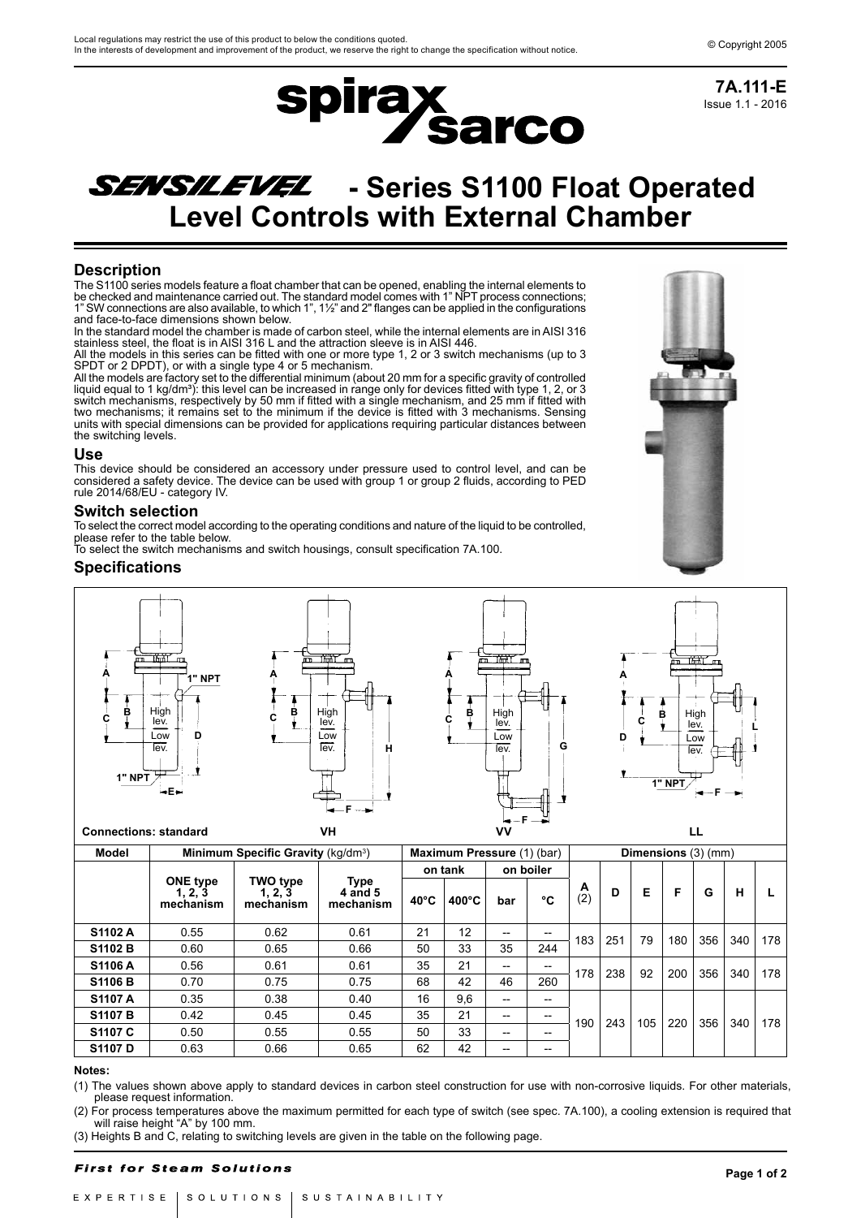

Issue 1.1 - 2016 **7A.111-E**

# SENSILEVEL - Series S1100 Float Operated **Level Controls with External Chamber**

**spirax sarco** 

# **Description**

The S1100 series models feature a float chamber that can be opened, enabling the internal elements to be checked and maintenance carried out. The standard model comes with 1" NPT process connections; 1" SW connections are also available, to which 1", 1½" and 2" flanges can be applied in the configurations and face-to-face dimensions shown below.

In the standard model the chamber is made of carbon steel, while the internal elements are in AISI 316 stainless steel, the float is in AISI 316 L and the attraction sleeve is in AISI 446.

All the models in this series can be fitted with one or more type 1, 2 or 3 switch mechanisms (up to 3 SPDT or 2 DPDT), or with a single type 4 or 5 mechanism.

All the models are factory set to the differential minimum (about 20 mm for a specific gravity of controlled liquid equal to 1 kg/dm<sup>3</sup>): this level can be increased in range only for devices fitted with type 1, 2, or 3 switch mechanisms, respectively by 50 mm if fitted with a single mechanism, and 25 mm if fitted with two mechanisms; it remains set to the minimum if the device is fitted with 3 mechanisms. Sensing units with special dimensions can be provided for applications requiring particular distances between the switching levels.

### **Use**

This device should be considered an accessory under pressure used to control level, and can be considered a safety device. The device can be used with group 1 or group 2 fluids, according to PED rule 2014/68/EU - category IV.

## **Switch selection**

To select the correct model according to the operating conditions and nature of the liquid to be controlled, please refer to the table below.

To select the switch mechanisms and switch housings, consult specification 7A.100.

# **Specifications**



**Connections: standard VH VV LL**

**Model | Minimum Specific Gravity (kg/dm<sup>3</sup>)** ) **Maximum Pressure** (1) (bar) **Dimensions** (3) (mm) **ONE type 1, 2, 3 mechanism TWO type 1, 2, 3 mechanism Type 4 and 5 mechanism on tank on boiler**  $\overline{2}$ (2) **<sup>D</sup> <sup>E</sup> <sup>F</sup> <sup>G</sup> <sup>H</sup> <sup>L</sup> 40°C 400°C bar °C S1102 A** 0.55 0.62 0.61 21 12 -- - 183 251 79 180 356 340 178<br>**S1102 B** 0.60 0.65 0.66 50 33 35 244 183 251 79 180 356 340 178 <mark>S1106 A 0.56 0.61 0.61 35 21 -- -</mark> 178 238 92 200 356 340 178<br>S1106 B 0.70 0.75 0.75 68 42 46 260 178 238 92 200 356 340 178 **S1107 A** | 0.35 | 0.38 | 0.40 | 16 | 9,6 | -- | --**51107 B** 0.42 0.45 0.45 35 21 - - 100 243 105 220 356 340 178 **S1107 C**  $\begin{array}{|c|c|c|c|c|} \hline \textbf{0.50} & \textbf{0.55} & \textbf{0.55} & \textbf{50} & \textbf{33} & \textbf{--} & \textbf{--} \ \hline \end{array}$ **S1107 D** | 0.63 | 0.66 | 0.65 | 62 | 42 | -- | --

#### **Notes:**

(1) The values shown above apply to standard devices in carbon steel construction for use with non-corrosive liquids. For other materials, please request information.

(2) For process temperatures above the maximum permitted for each type of switch (see spec. 7A.100), a cooling extension is required that will raise height "A" by 100 mm.

(3) Heights B and C, relating to switching levels are given in the table on the following page.

#### **First for Steam Solutions**